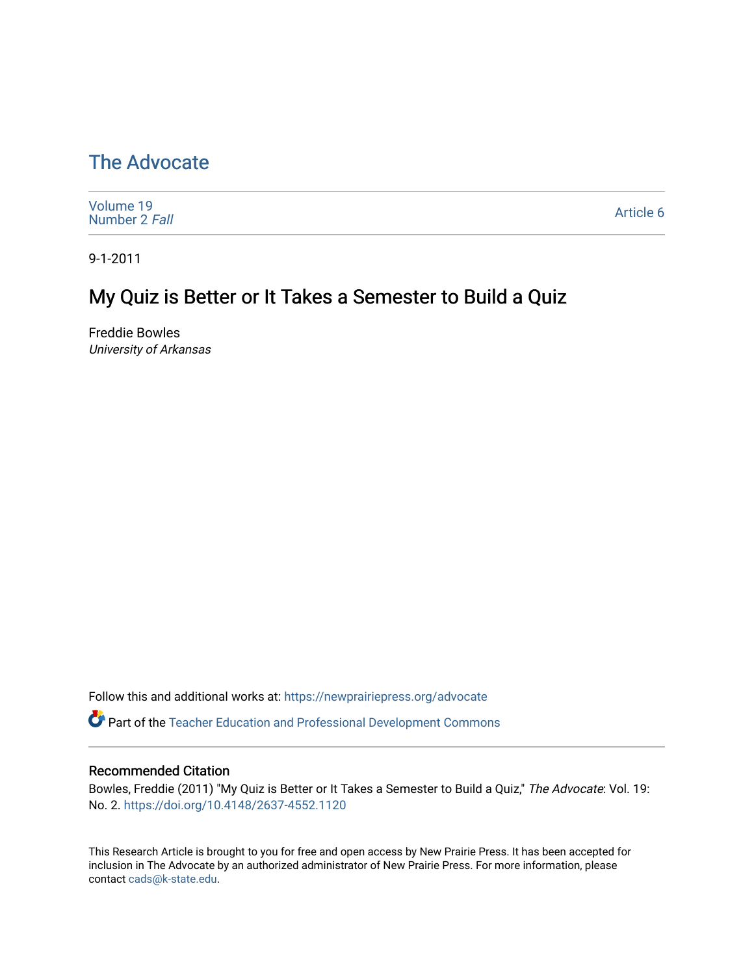# [The Advocate](https://newprairiepress.org/advocate)

| Volume 19<br>Number 2 Fall | Article 6 |
|----------------------------|-----------|
|----------------------------|-----------|

9-1-2011

# My Quiz is Better or It Takes a Semester to Build a Quiz

Freddie Bowles University of Arkansas

Follow this and additional works at: [https://newprairiepress.org/advocate](https://newprairiepress.org/advocate?utm_source=newprairiepress.org%2Fadvocate%2Fvol19%2Fiss2%2F6&utm_medium=PDF&utm_campaign=PDFCoverPages) 

**Part of the Teacher Education and Professional Development Commons** 

### Recommended Citation

Bowles, Freddie (2011) "My Quiz is Better or It Takes a Semester to Build a Quiz," The Advocate: Vol. 19: No. 2. <https://doi.org/10.4148/2637-4552.1120>

This Research Article is brought to you for free and open access by New Prairie Press. It has been accepted for inclusion in The Advocate by an authorized administrator of New Prairie Press. For more information, please contact [cads@k-state.edu](mailto:cads@k-state.edu).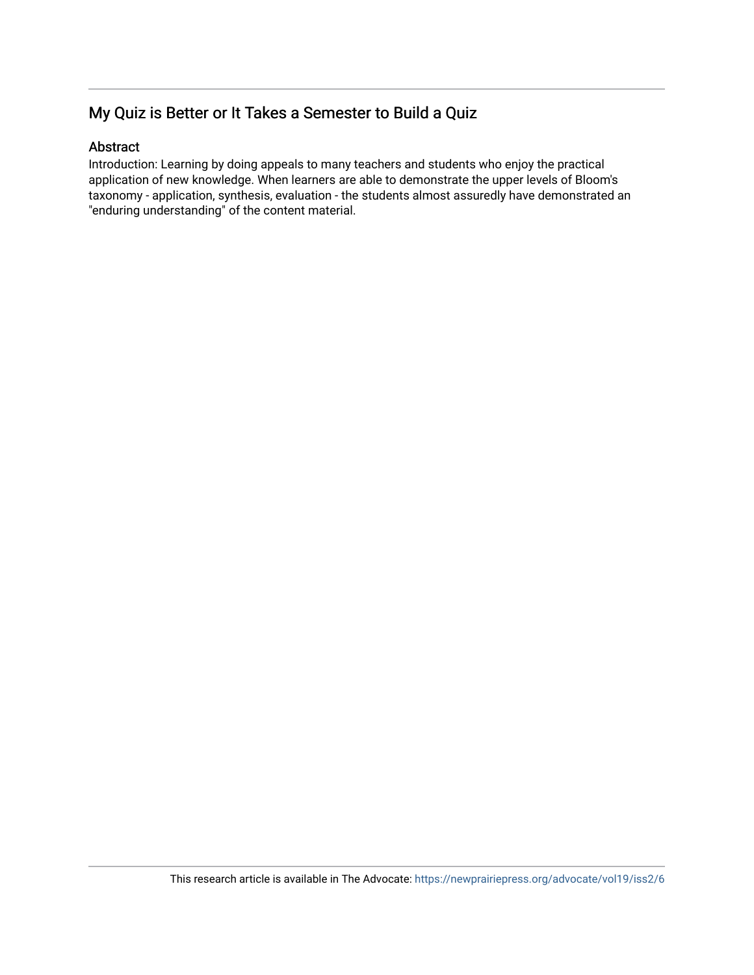# My Quiz is Better or It Takes a Semester to Build a Quiz

## Abstract

Introduction: Learning by doing appeals to many teachers and students who enjoy the practical application of new knowledge. When learners are able to demonstrate the upper levels of Bloom's taxonomy - application, synthesis, evaluation - the students almost assuredly have demonstrated an "enduring understanding" of the content material.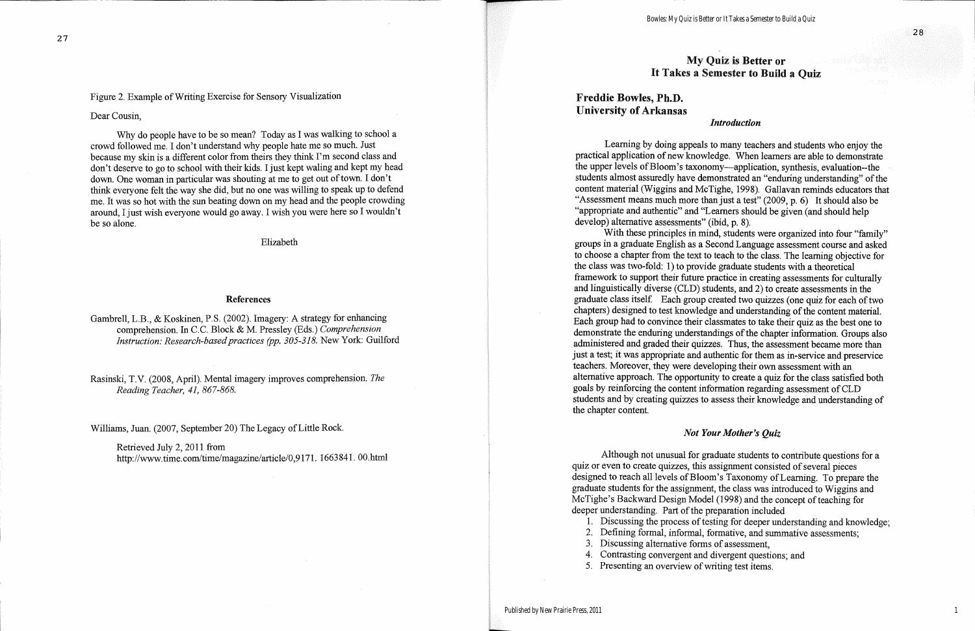# My Quiz is Better or It Takes a Semester to Build a Ouiz

# **Freddie Bowles, Ph.D. University of Arkansas**

### **Introduction**

Learning by doing appeals to many teachers and students who enjoy the practical application of new knowledge. When learners are able to demonstrate the upper levels of Bloom's taxonomy—application, synthesis, evaluation--the students almost assuredly have demonstrated an "enduring understanding" of the content material (Wiggins and McTighe, 1998). Gallavan reminds educators that "Assessment means much more than just a test" (2009, p. 6) It should also be "appropriate and authentic" and "Learners should be given (and should help develop) alternative assessments" (ibid, p. 8).

With these principles in mind, students were organized into four "family" groups in a graduate English as a Second Language assessment course and asked to choose a chapter from the text to teach to the class. The learning objective for the class was two-fold: 1) to provide graduate students with a theoretical framework to support their future practice in creating assessments for culturally and linguistically diverse (CLD) students, and 2) to create assessments in the graduate class itself. Each group created two quizzes (one quiz for each of two chapters) designed to test knowledge and understanding of the content material. Each group had to convince their classmates to take their quiz as the best one to demonstrate the enduring understandings of the chapter information. Groups also administered and graded their quizzes. Thus, the assessment became more than just a test; it was appropriate and authentic for them as in-service and preservice teachers. Moreover, they were developing their own assessment with an alternative approach. The opportunity to create a quiz for the class satisfied both goals by reinforcing the content information regarding assessment of CLD students and by creating quizzes to assess their knowledge and understanding of the chapter content.

### **Not Your Mother's Quiz**

Although not unusual for graduate students to contribute questions for a quiz or even to create quizzes, this assignment consisted of several pieces designed to reach all levels of Bloom's Taxonomy of Learning. To prepare the graduate students for the assignment, the class was introduced to Wiggins and McTighe's Backward Design Model (1998) and the concept of teaching for deeper understanding. Part of the preparation included

- 1. Discussing the process of testing for deeper understanding and knowledge;
- 2. Defining formal, informal, formative, and summative assessments;
- 3. Discussing alternative forms of assessment.
- 4. Contrasting convergent and divergent questions; and
- 5. Presenting an overview of writing test items.

 $\mathbf{1}$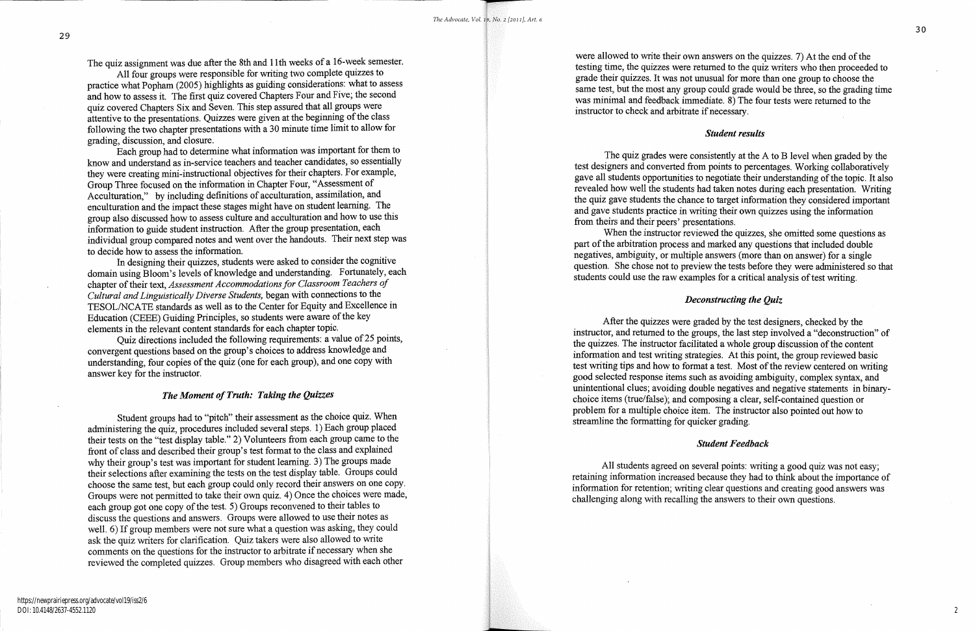The quiz assignment was due after the 8th and 11th weeks of a 16-week semester.

All four groups were responsible for writing two complete quizzes to practice what Popham (2005) highlights as guiding considerations: what to assess and how to assess it. The first quiz covered Chapters Four and Five; the second quiz covered Chapters Six and Seven. This step assured that all groups were attentive to the presentations. Quizzes were given at the beginning of the class following the two chapter presentations with a 30 minute time limit to allow for grading, discussion, and closure.

Each group had to determine what information was important for them to know and understand as in-service teachers and teacher candidates, so essentially they were creating mini-instructional objectives for their chapters. For example, Group Three focused on the information in Chapter Four, "Assessment of Acculturation," by including definitions of acculturation, assimilation, and enculturation and the impact these stages might have on student learning. The group also discussed how to assess culture and acculturation and how to use this information to guide student instruction. After the group presentation, each individual group compared notes and went over the handouts. Their next step was to decide how to assess the information.

In designing their quizzes, students were asked to consider the cognitive domain using Bloom's levels of knowledge and understanding. Fortunately, each chapter of their text, Assessment Accommodations for Classroom Teachers of Cultural and Linguistically Diverse Students, began with connections to the TESOL/NCATE standards as well as to the Center for Equity and Excellence in Education (CEEE) Guiding Principles, so students were aware of the key elements in the relevant content standards for each chapter topic.

Quiz directions included the following requirements: a value of 25 points, convergent questions based on the group's choices to address knowledge and understanding, four copies of the quiz (one for each group), and one copy with answer key for the instructor.

### The Moment of Truth: Taking the Quizzes

Student groups had to "pitch" their assessment as the choice quiz. When administering the quiz, procedures included several steps. 1) Each group placed their tests on the "test display table." 2) Volunteers from each group came to the front of class and described their group's test format to the class and explained why their group's test was important for student learning. 3) The groups made their selections after examining the tests on the test display table. Groups could choose the same test, but each group could only record their answers on one copy. Groups were not permitted to take their own quiz. 4) Once the choices were made, each group got one copy of the test. 5) Groups reconvened to their tables to discuss the questions and answers. Groups were allowed to use their notes as well. 6) If group members were not sure what a question was asking, they could ask the quiz writers for clarification. Quiz takers were also allowed to write comments on the questions for the instructor to arbitrate if necessary when she reviewed the completed quizzes. Group members who disagreed with each other

were allowed to write their own answers on the quizzes. 7) At the end of the testing time, the quizzes were returned to the quiz writers who then proceeded to grade their quizzes. It was not unusual for more than one group to choose the same test, but the most any group could grade would be three, so the grading time was minimal and feedback immediate. 8) The four tests were returned to the instructor to check and arbitrate if necessary.

The quiz grades were consistently at the A to B level when graded by the test designers and converted from points to percentages. Working collaboratively gave all students opportunities to negotiate their understanding of the topic. It also revealed how well the students had taken notes during each presentation. Writing the quiz gave students the chance to target information they considered important and gave students practice in writing their own quizzes using the information from theirs and their peers' presentations.

When the instructor reviewed the quizzes, she omitted some questions as part of the arbitration process and marked any questions that included double negatives, ambiguity, or multiple answers (more than on answer) for a single question. She chose not to preview the tests before they were administered so that students could use the raw examples for a critical analysis of test writing.

After the quizzes were graded by the test designers, checked by the instructor, and returned to the groups, the last step involved a "deconstruction" of the quizzes. The instructor facilitated a whole group discussion of the content information and test writing strategies. At this point, the group reviewed basic test writing tips and how to format a test. Most of the review centered on writing good selected response items such as avoiding ambiguity, complex syntax, and unintentional clues; avoiding double negatives and negative statements in binarychoice items (true/false); and composing a clear, self-contained question or problem for a multiple choice item. The instructor also pointed out how to streamline the formatting for quicker grading.

All students agreed on several points: writing a good quiz was not easy; retaining information increased because they had to think about the importance of information for retention; writing clear questions and creating good answers was challenging along with recalling the answers to their own questions.

# **Student results**

# Deconstructing the Quiz

## **Student Feedback**